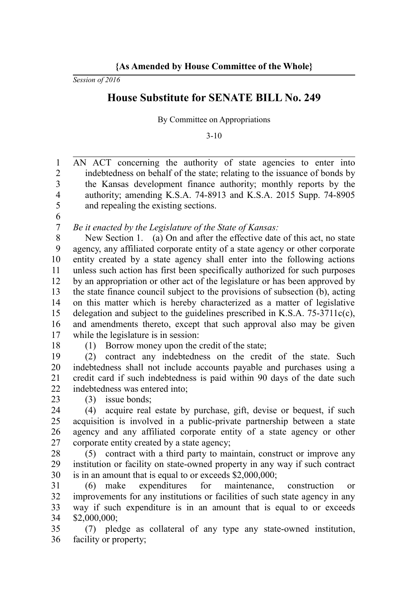*Session of 2016*

## **House Substitute for SENATE BILL No. 249**

By Committee on Appropriations

3-10

AN ACT concerning the authority of state agencies to enter into indebtedness on behalf of the state; relating to the issuance of bonds by the Kansas development finance authority; monthly reports by the authority; amending K.S.A. 74-8913 and K.S.A. 2015 Supp. 74-8905 and repealing the existing sections. 1 2 3 4 5

6 7

*Be it enacted by the Legislature of the State of Kansas:*

New Section 1. (a) On and after the effective date of this act, no state agency, any affiliated corporate entity of a state agency or other corporate entity created by a state agency shall enter into the following actions unless such action has first been specifically authorized for such purposes by an appropriation or other act of the legislature or has been approved by the state finance council subject to the provisions of subsection (b), acting on this matter which is hereby characterized as a matter of legislative delegation and subject to the guidelines prescribed in K.S.A.  $75-3711c(c)$ , and amendments thereto, except that such approval also may be given while the legislature is in session: 8 9 10 11 12 13 14 15 16 17

18

(1) Borrow money upon the credit of the state;

(2) contract any indebtedness on the credit of the state. Such indebtedness shall not include accounts payable and purchases using a credit card if such indebtedness is paid within 90 days of the date such indebtedness was entered into; 19 20 21 22

(3) issue bonds; 23

(4) acquire real estate by purchase, gift, devise or bequest, if such acquisition is involved in a public-private partnership between a state agency and any affiliated corporate entity of a state agency or other corporate entity created by a state agency; 24 25 26 27

(5) contract with a third party to maintain, construct or improve any institution or facility on state-owned property in any way if such contract is in an amount that is equal to or exceeds \$2,000,000; 28 29 30

(6) make expenditures for maintenance, construction or improvements for any institutions or facilities of such state agency in any way if such expenditure is in an amount that is equal to or exceeds \$2,000,000; 31 32 33 34

(7) pledge as collateral of any type any state-owned institution, facility or property; 35 36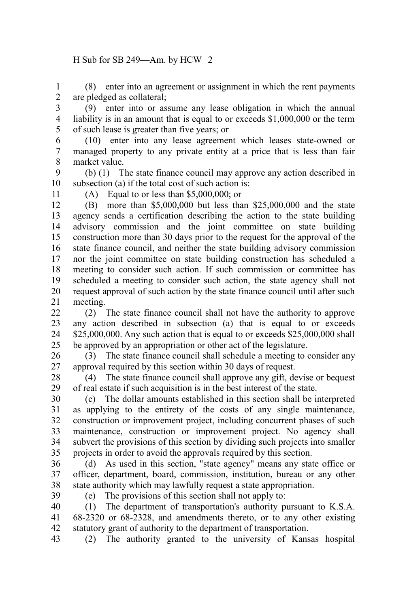## H Sub for SB 249—Am. by HCW 2

(8) enter into an agreement or assignment in which the rent payments are pledged as collateral; 1 2

(9) enter into or assume any lease obligation in which the annual liability is in an amount that is equal to or exceeds \$1,000,000 or the term of such lease is greater than five years; or 3 4 5

(10) enter into any lease agreement which leases state-owned or managed property to any private entity at a price that is less than fair market value. 6 7 8

(b) (1) The state finance council may approve any action described in subsection (a) if the total cost of such action is: 9 10

11

(A) Equal to or less than \$5,000,000; or

(B) more than \$5,000,000 but less than \$25,000,000 and the state agency sends a certification describing the action to the state building advisory commission and the joint committee on state building construction more than 30 days prior to the request for the approval of the state finance council, and neither the state building advisory commission nor the joint committee on state building construction has scheduled a meeting to consider such action. If such commission or committee has scheduled a meeting to consider such action, the state agency shall not request approval of such action by the state finance council until after such meeting. 12 13 14 15 16 17 18 19 20 21

(2) The state finance council shall not have the authority to approve any action described in subsection (a) that is equal to or exceeds \$25,000,000. Any such action that is equal to or exceeds \$25,000,000 shall be approved by an appropriation or other act of the legislature.  $22$ 23 24 25

(3) The state finance council shall schedule a meeting to consider any approval required by this section within 30 days of request. 26 27

(4) The state finance council shall approve any gift, devise or bequest of real estate if such acquisition is in the best interest of the state. 28 29

(c) The dollar amounts established in this section shall be interpreted as applying to the entirety of the costs of any single maintenance, construction or improvement project, including concurrent phases of such maintenance, construction or improvement project. No agency shall subvert the provisions of this section by dividing such projects into smaller projects in order to avoid the approvals required by this section. 30 31 32 33 34 35

(d) As used in this section, "state agency" means any state office or officer, department, board, commission, institution, bureau or any other state authority which may lawfully request a state appropriation. 36 37 38

39

(e) The provisions of this section shall not apply to:

(1) The department of transportation's authority pursuant to K.S.A. 68-2320 or 68-2328, and amendments thereto, or to any other existing statutory grant of authority to the department of transportation. 40 41 42

(2) The authority granted to the university of Kansas hospital 43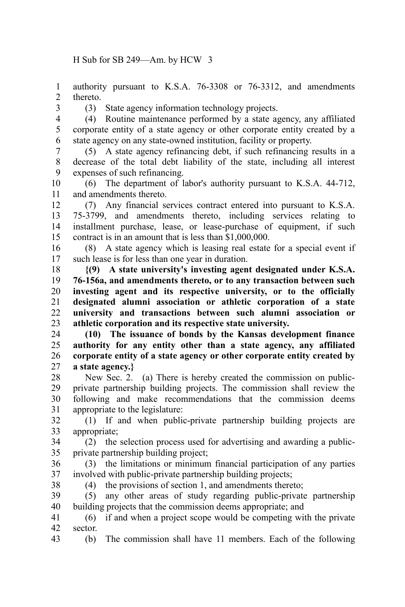authority pursuant to K.S.A. 76-3308 or 76-3312, and amendments thereto. 1 2

3

(3) State agency information technology projects.

(4) Routine maintenance performed by a state agency, any affiliated corporate entity of a state agency or other corporate entity created by a state agency on any state-owned institution, facility or property. 4 5 6

(5) A state agency refinancing debt, if such refinancing results in a decrease of the total debt liability of the state, including all interest expenses of such refinancing. 7 8 9

(6) The department of labor's authority pursuant to K.S.A. 44-712, and amendments thereto. 10 11

(7) Any financial services contract entered into pursuant to K.S.A. 75-3799, and amendments thereto, including services relating to installment purchase, lease, or lease-purchase of equipment, if such contract is in an amount that is less than \$1,000,000. 12 13 14 15

(8) A state agency which is leasing real estate for a special event if such lease is for less than one year in duration. 16 17

**{(9) A state university's investing agent designated under K.S.A. 76-156a, and amendments thereto, or to any transaction between such investing agent and its respective university, or to the officially designated alumni association or athletic corporation of a state university and transactions between such alumni association or athletic corporation and its respective state university.** 18 19 20 21 22 23

**(10) The issuance of bonds by the Kansas development finance authority for any entity other than a state agency, any affiliated corporate entity of a state agency or other corporate entity created by a state agency.}** 24 25 26 27

New Sec. 2. (a) There is hereby created the commission on publicprivate partnership building projects. The commission shall review the following and make recommendations that the commission deems appropriate to the legislature: 28 29 30 31

(1) If and when public-private partnership building projects are appropriate; 32 33

(2) the selection process used for advertising and awarding a publicprivate partnership building project; 34 35

(3) the limitations or minimum financial participation of any parties involved with public-private partnership building projects; 36 37

38

(4) the provisions of section 1, and amendments thereto;

(5) any other areas of study regarding public-private partnership building projects that the commission deems appropriate; and 39 40

(6) if and when a project scope would be competing with the private sector. 41 42

(b) The commission shall have 11 members. Each of the following 43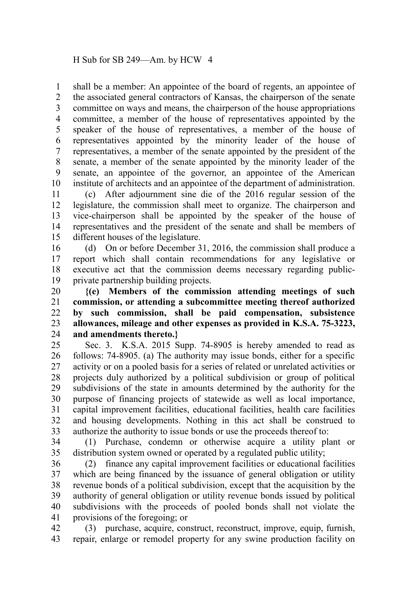shall be a member: An appointee of the board of regents, an appointee of the associated general contractors of Kansas, the chairperson of the senate committee on ways and means, the chairperson of the house appropriations committee, a member of the house of representatives appointed by the speaker of the house of representatives, a member of the house of representatives appointed by the minority leader of the house of representatives, a member of the senate appointed by the president of the senate, a member of the senate appointed by the minority leader of the senate, an appointee of the governor, an appointee of the American institute of architects and an appointee of the department of administration. 1 2 3 4 5 6 7 8 9 10

(c) After adjournment sine die of the 2016 regular session of the legislature, the commission shall meet to organize. The chairperson and vice-chairperson shall be appointed by the speaker of the house of representatives and the president of the senate and shall be members of different houses of the legislature. 11 12 13 14 15

(d) On or before December 31, 2016, the commission shall produce a report which shall contain recommendations for any legislative or executive act that the commission deems necessary regarding publicprivate partnership building projects. 16 17 18 19

**{(e) Members of the commission attending meetings of such commission, or attending a subcommittee meeting thereof authorized by such commission, shall be paid compensation, subsistence allowances, mileage and other expenses as provided in K.S.A. 75-3223, and amendments thereto.}** 20 21 22 23 24

Sec. 3. K.S.A. 2015 Supp. 74-8905 is hereby amended to read as follows: 74-8905. (a) The authority may issue bonds, either for a specific activity or on a pooled basis for a series of related or unrelated activities or projects duly authorized by a political subdivision or group of political subdivisions of the state in amounts determined by the authority for the purpose of financing projects of statewide as well as local importance, capital improvement facilities, educational facilities, health care facilities and housing developments. Nothing in this act shall be construed to authorize the authority to issue bonds or use the proceeds thereof to: 25 26 27 28 29 30 31 32 33

(1) Purchase, condemn or otherwise acquire a utility plant or distribution system owned or operated by a regulated public utility; 34 35

(2) finance any capital improvement facilities or educational facilities which are being financed by the issuance of general obligation or utility revenue bonds of a political subdivision, except that the acquisition by the authority of general obligation or utility revenue bonds issued by political subdivisions with the proceeds of pooled bonds shall not violate the provisions of the foregoing; or 36 37 38 39 40 41

(3) purchase, acquire, construct, reconstruct, improve, equip, furnish, repair, enlarge or remodel property for any swine production facility on 42 43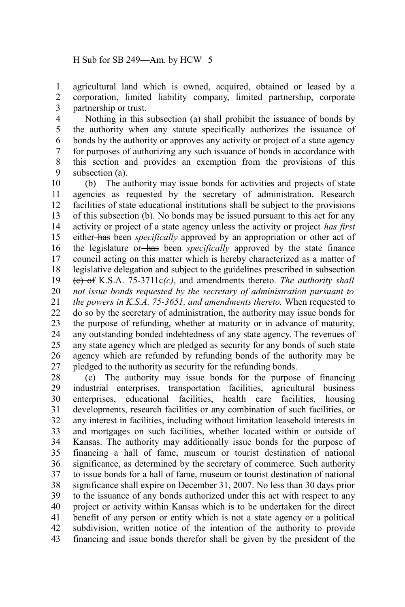agricultural land which is owned, acquired, obtained or leased by a corporation, limited liability company, limited partnership, corporate partnership or trust. 1 2 3

Nothing in this subsection (a) shall prohibit the issuance of bonds by the authority when any statute specifically authorizes the issuance of bonds by the authority or approves any activity or project of a state agency for purposes of authorizing any such issuance of bonds in accordance with this section and provides an exemption from the provisions of this subsection (a). 4 5 6 7 8 9

(b) The authority may issue bonds for activities and projects of state agencies as requested by the secretary of administration. Research facilities of state educational institutions shall be subject to the provisions of this subsection (b). No bonds may be issued pursuant to this act for any activity or project of a state agency unless the activity or project *has first* either has been *specifically* approved by an appropriation or other act of the legislature or has been *specifically* approved by the state finance council acting on this matter which is hereby characterized as a matter of legislative delegation and subject to the guidelines prescribed in subsection (c) of K.S.A. 75-3711c*(c)*, and amendments thereto. *The authority shall not issue bonds requested by the secretary of administration pursuant to the powers in K.S.A. 75-3651, and amendments thereto.* When requested to do so by the secretary of administration, the authority may issue bonds for the purpose of refunding, whether at maturity or in advance of maturity, any outstanding bonded indebtedness of any state agency. The revenues of any state agency which are pledged as security for any bonds of such state agency which are refunded by refunding bonds of the authority may be pledged to the authority as security for the refunding bonds. 10 11 12 13 14 15 16 17 18 19 20 21 22 23 24 25 26 27

(c) The authority may issue bonds for the purpose of financing industrial enterprises, transportation facilities, agricultural business enterprises, educational facilities, health care facilities, housing developments, research facilities or any combination of such facilities, or any interest in facilities, including without limitation leasehold interests in and mortgages on such facilities, whether located within or outside of Kansas. The authority may additionally issue bonds for the purpose of financing a hall of fame, museum or tourist destination of national significance, as determined by the secretary of commerce. Such authority to issue bonds for a hall of fame, museum or tourist destination of national significance shall expire on December 31, 2007. No less than 30 days prior to the issuance of any bonds authorized under this act with respect to any project or activity within Kansas which is to be undertaken for the direct benefit of any person or entity which is not a state agency or a political subdivision, written notice of the intention of the authority to provide financing and issue bonds therefor shall be given by the president of the 28 29 30 31 32 33 34 35 36 37 38 39 40 41 42 43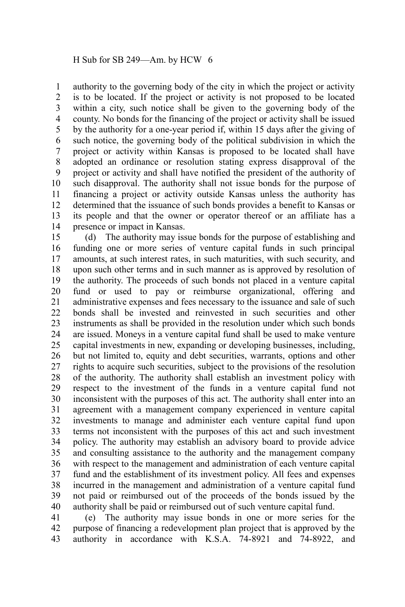authority to the governing body of the city in which the project or activity is to be located. If the project or activity is not proposed to be located within a city, such notice shall be given to the governing body of the county. No bonds for the financing of the project or activity shall be issued by the authority for a one-year period if, within 15 days after the giving of such notice, the governing body of the political subdivision in which the project or activity within Kansas is proposed to be located shall have adopted an ordinance or resolution stating express disapproval of the project or activity and shall have notified the president of the authority of such disapproval. The authority shall not issue bonds for the purpose of financing a project or activity outside Kansas unless the authority has determined that the issuance of such bonds provides a benefit to Kansas or its people and that the owner or operator thereof or an affiliate has a presence or impact in Kansas. 1 2 3 4 5 6 7 8 9 10 11 12 13 14

(d) The authority may issue bonds for the purpose of establishing and funding one or more series of venture capital funds in such principal amounts, at such interest rates, in such maturities, with such security, and upon such other terms and in such manner as is approved by resolution of the authority. The proceeds of such bonds not placed in a venture capital fund or used to pay or reimburse organizational, offering and administrative expenses and fees necessary to the issuance and sale of such bonds shall be invested and reinvested in such securities and other instruments as shall be provided in the resolution under which such bonds are issued. Moneys in a venture capital fund shall be used to make venture capital investments in new, expanding or developing businesses, including, but not limited to, equity and debt securities, warrants, options and other rights to acquire such securities, subject to the provisions of the resolution of the authority. The authority shall establish an investment policy with respect to the investment of the funds in a venture capital fund not inconsistent with the purposes of this act. The authority shall enter into an agreement with a management company experienced in venture capital investments to manage and administer each venture capital fund upon terms not inconsistent with the purposes of this act and such investment policy. The authority may establish an advisory board to provide advice and consulting assistance to the authority and the management company with respect to the management and administration of each venture capital fund and the establishment of its investment policy. All fees and expenses incurred in the management and administration of a venture capital fund not paid or reimbursed out of the proceeds of the bonds issued by the authority shall be paid or reimbursed out of such venture capital fund. 15 16 17 18 19 20 21 22 23 24 25 26 27 28 29 30 31 32 33 34 35 36 37 38 39 40

(e) The authority may issue bonds in one or more series for the purpose of financing a redevelopment plan project that is approved by the authority in accordance with K.S.A. 74-8921 and 74-8922, and 41 42 43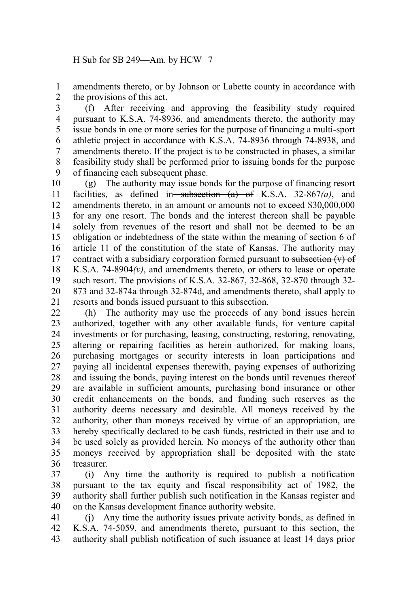amendments thereto, or by Johnson or Labette county in accordance with the provisions of this act. 1 2

(f) After receiving and approving the feasibility study required pursuant to K.S.A. 74-8936, and amendments thereto, the authority may issue bonds in one or more series for the purpose of financing a multi-sport athletic project in accordance with K.S.A. 74-8936 through 74-8938, and amendments thereto. If the project is to be constructed in phases, a similar feasibility study shall be performed prior to issuing bonds for the purpose of financing each subsequent phase. 3 4 5 6 7 8 9

(g) The authority may issue bonds for the purpose of financing resort facilities, as defined in subsection  $(a)$  of K.S.A. 32-867 $(a)$ , and amendments thereto, in an amount or amounts not to exceed \$30,000,000 for any one resort. The bonds and the interest thereon shall be payable solely from revenues of the resort and shall not be deemed to be an obligation or indebtedness of the state within the meaning of section 6 of article 11 of the constitution of the state of Kansas. The authority may contract with a subsidiary corporation formed pursuant to subsection  $(v)$  of K.S.A. 74-8904*(v)*, and amendments thereto, or others to lease or operate such resort. The provisions of K.S.A. 32-867, 32-868, 32-870 through 32- 873 and 32-874a through 32-874d, and amendments thereto, shall apply to resorts and bonds issued pursuant to this subsection. 10 11 12 13 14 15 16 17 18 19 20 21

(h) The authority may use the proceeds of any bond issues herein authorized, together with any other available funds, for venture capital investments or for purchasing, leasing, constructing, restoring, renovating, altering or repairing facilities as herein authorized, for making loans, purchasing mortgages or security interests in loan participations and paying all incidental expenses therewith, paying expenses of authorizing and issuing the bonds, paying interest on the bonds until revenues thereof are available in sufficient amounts, purchasing bond insurance or other credit enhancements on the bonds, and funding such reserves as the authority deems necessary and desirable. All moneys received by the authority, other than moneys received by virtue of an appropriation, are hereby specifically declared to be cash funds, restricted in their use and to be used solely as provided herein. No moneys of the authority other than moneys received by appropriation shall be deposited with the state treasurer. 22 23 24 25 26 27 28 29 30 31 32 33 34 35 36

(i) Any time the authority is required to publish a notification pursuant to the tax equity and fiscal responsibility act of 1982, the authority shall further publish such notification in the Kansas register and on the Kansas development finance authority website. 37 38 39 40

(j) Any time the authority issues private activity bonds, as defined in K.S.A. 74-5059, and amendments thereto, pursuant to this section, the authority shall publish notification of such issuance at least 14 days prior 41 42 43